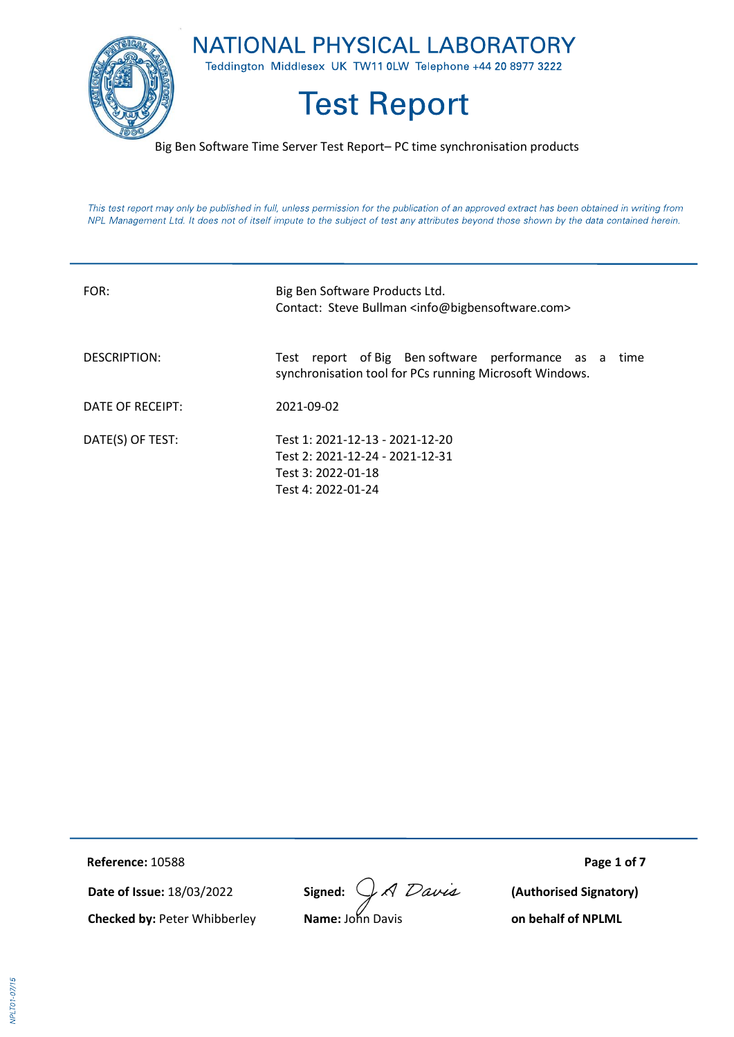

Big Ben Software Time Server Test Report– PC time synchronisation products

This test report may only be published in full, unless permission for the publication of an approved extract has been obtained in writing from NPL Management Ltd. It does not of itself impute to the subject of test any attributes beyond those shown by the data contained herein.

| FOR:             | Big Ben Software Products Ltd.<br>Contact: Steve Bullman <info@bigbensoftware.com></info@bigbensoftware.com>     |
|------------------|------------------------------------------------------------------------------------------------------------------|
| DESCRIPTION:     | Test report of Big Ben software performance as a time<br>synchronisation tool for PCs running Microsoft Windows. |
| DATE OF RECEIPT: | 2021-09-02                                                                                                       |
| DATE(S) OF TEST: | Test 1: 2021-12-13 - 2021-12-20<br>Test 2: 2021-12-24 - 2021-12-31<br>Test 3: 2022-01-18<br>Test 4: 2022-01-24   |

**RReference:** 10588 **Page 1 of 7**

**Date of Issue:** 18/03/2022 **Signed:**  $\bigcup_{n}$  **A**  $D$  avea (Authorised Signatory)

**Checked by:** Peter Whibberley **Name:** John Davis **on behalf of NPLML**

**VPLT01-07/15**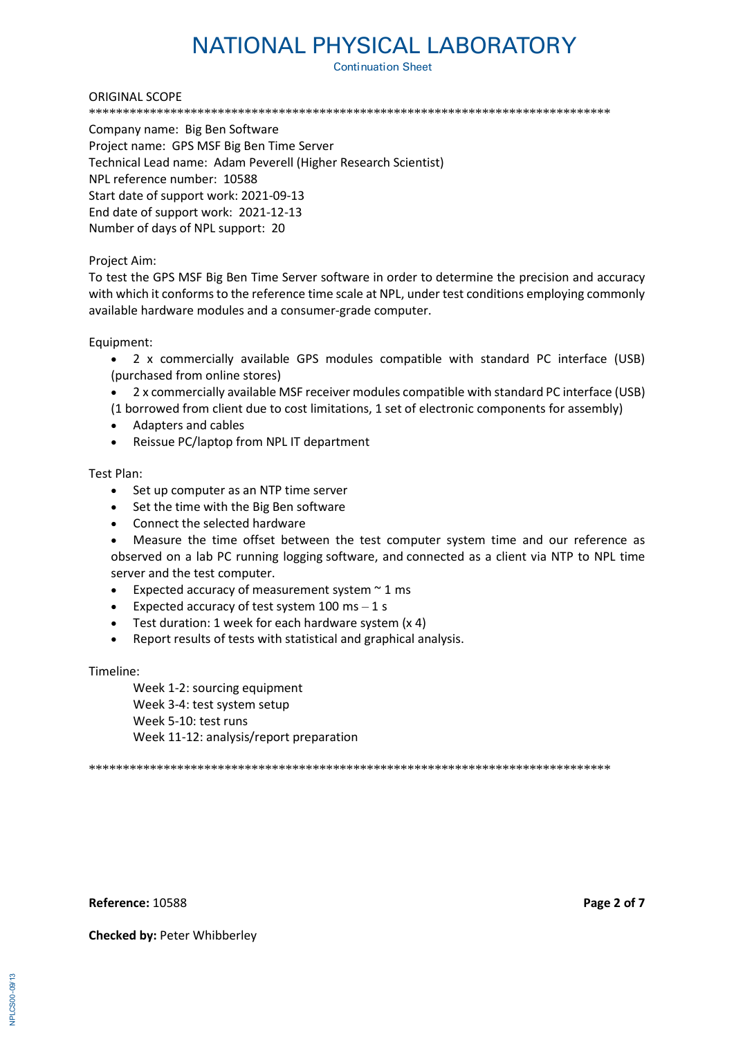**Continuation Sheet** 

#### ORIGINAL SCOPE

\*\*\*\*\*\*\*\*\*\*\*\*\*\*\*\*\*\*\*\*\*\*\*\*\*\*\*\*\*\*\*\*\*\*\*\*\*\*\*\*\*\*\*\*\*\*\*\*\*\*\*\*\*\*\*\*\*\*\*\*\*\*\*\*\*\*\*\*\*\*\*\*\*\*\*\*\*

Company name: Big Ben Software Project name: GPS MSF Big Ben Time Server Technical Lead name: Adam Peverell (Higher Research Scientist) NPL reference number: 10588 Start date of support work: 2021-09-13 End date of support work: 2021-12-13 Number of days of NPL support: 20

### Project Aim:

To test the GPS MSF Big Ben Time Server software in order to determine the precision and accuracy with which it conforms to the reference time scale at NPL, under test conditions employing commonly available hardware modules and a consumer-grade computer.

Equipment:

- 2 x commercially available GPS modules compatible with standard PC interface (USB) (purchased from online stores)
- 2 x commercially available MSF receiver modules compatible with standard PC interface (USB)
- (1 borrowed from client due to cost limitations, 1 set of electronic components for assembly)
- Adapters and cables
- Reissue PC/laptop from NPL IT department

### Test Plan:

- Set up computer as an NTP time server
- Set the time with the Big Ben software
- Connect the selected hardware
- Measure the time offset between the test computer system time and our reference as observed on a lab PC running logging software, and connected as a client via NTP to NPL time server and the test computer.
- Expected accuracy of measurement system  $\sim$  1 ms
- Expected accuracy of test system  $100$  ms  $-1$  s
- Test duration: 1 week for each hardware system (x 4)
- Report results of tests with statistical and graphical analysis.

Timeline:

Week 1-2: sourcing equipment Week 3-4: test system setup Week 5-10: test runs Week 11-12: analysis/report preparation

\*\*\*\*\*\*\*\*\*\*\*\*\*\*\*\*\*\*\*\*\*\*\*\*\*\*\*\*\*\*\*\*\*\*\*\*\*\*\*\*\*\*\*\*\*\*\*\*\*\*\*\*\*\*\*\*\*\*\*\*\*\*\*\*\*\*\*\*\*\*\*\*\*\*\*\*\*

**Reference:** 10588 **Page 2 of 7**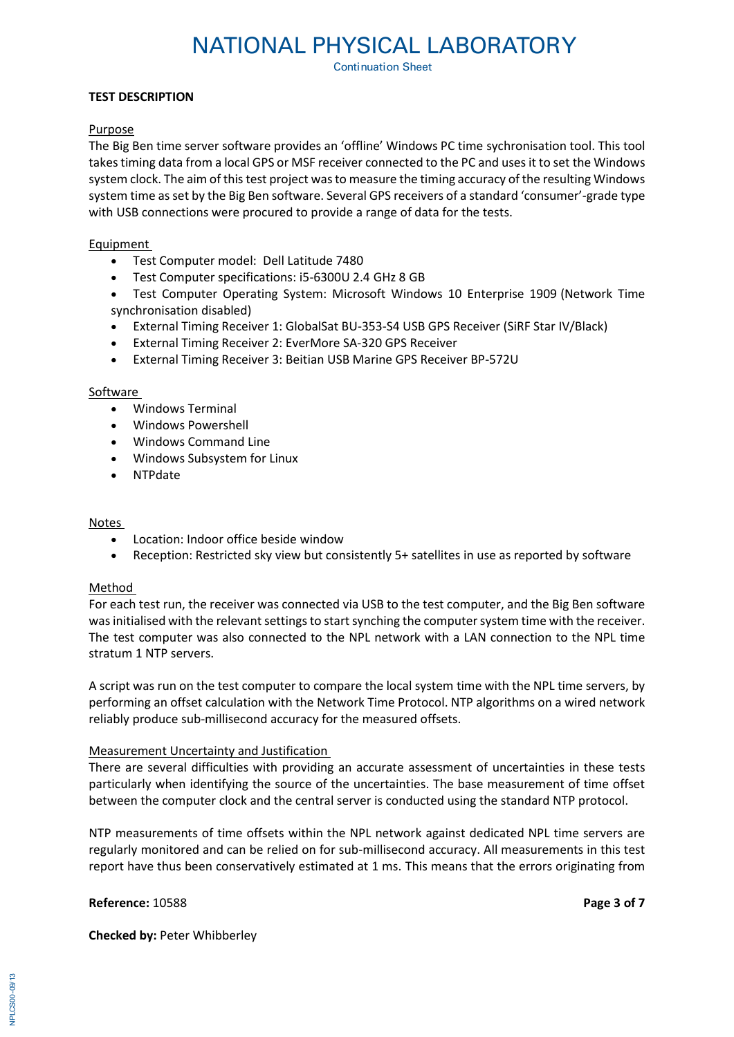**Continuation Sheet** 

### **TEST DESCRIPTION**

### Purpose

The Big Ben time server software provides an 'offline' Windows PC time sychronisation tool. This tool takes timing data from a local GPS or MSF receiver connected to the PC and uses it to set the Windows system clock. The aim of this test project was to measure the timing accuracy of the resulting Windows system time as set by the Big Ben software. Several GPS receivers of a standard 'consumer'-grade type with USB connections were procured to provide a range of data for the tests.

### Equipment

- Test Computer model: Dell Latitude 7480
- Test Computer specifications: i5-6300U 2.4 GHz 8 GB
- Test Computer Operating System: Microsoft Windows 10 Enterprise 1909 (Network Time synchronisation disabled)
- External Timing Receiver 1: GlobalSat BU-353-S4 USB GPS Receiver (SiRF Star IV/Black)
- External Timing Receiver 2: EverMore SA-320 GPS Receiver
- External Timing Receiver 3: Beitian USB Marine GPS Receiver BP-572U

### Software

- Windows Terminal
- Windows Powershell
- Windows Command Line
- Windows Subsystem for Linux
- NTPdate

### Notes

- Location: Indoor office beside window
- Reception: Restricted sky view but consistently 5+ satellites in use as reported by software

## Method

For each test run, the receiver was connected via USB to the test computer, and the Big Ben software was initialised with the relevant settings to start synching the computer system time with the receiver. The test computer was also connected to the NPL network with a LAN connection to the NPL time stratum 1 NTP servers.

A script was run on the test computer to compare the local system time with the NPL time servers, by performing an offset calculation with the Network Time Protocol. NTP algorithms on a wired network reliably produce sub-millisecond accuracy for the measured offsets.

## Measurement Uncertainty and Justification

There are several difficulties with providing an accurate assessment of uncertainties in these tests particularly when identifying the source of the uncertainties. The base measurement of time offset between the computer clock and the central server is conducted using the standard NTP protocol.

NTP measurements of time offsets within the NPL network against dedicated NPL time servers are regularly monitored and can be relied on for sub-millisecond accuracy. All measurements in this test report have thus been conservatively estimated at 1 ms. This means that the errors originating from

**Reference:** 10588 **Page 3 of 7**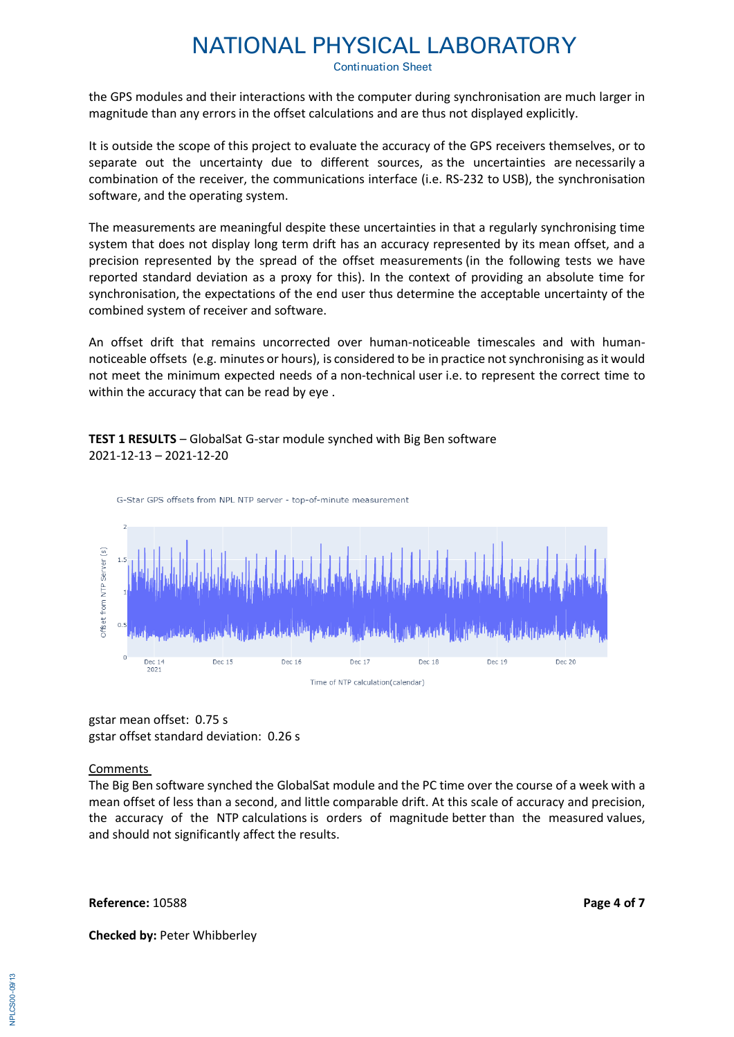**Continuation Sheet** 

the GPS modules and their interactions with the computer during synchronisation are much larger in magnitude than any errors in the offset calculations and are thus not displayed explicitly.

It is outside the scope of this project to evaluate the accuracy of the GPS receivers themselves, or to separate out the uncertainty due to different sources, as the uncertainties are necessarily a combination of the receiver, the communications interface (i.e. RS-232 to USB), the synchronisation software, and the operating system.

The measurements are meaningful despite these uncertainties in that a regularly synchronising time system that does not display long term drift has an accuracy represented by its mean offset, and a precision represented by the spread of the offset measurements (in the following tests we have reported standard deviation as a proxy for this). In the context of providing an absolute time for synchronisation, the expectations of the end user thus determine the acceptable uncertainty of the combined system of receiver and software.

An offset drift that remains uncorrected over human-noticeable timescales and with humannoticeable offsets (e.g. minutes or hours), is considered to be in practice not synchronising as it would not meet the minimum expected needs of a non-technical user i.e. to represent the correct time to within the accuracy that can be read by eye .

# **TEST 1 RESULTS** – GlobalSat G-star module synched with Big Ben software 2021-12-13 – 2021-12-20



gstar mean offset: 0.75 s gstar offset standard deviation: 0.26 s

## Comments

The Big Ben software synched the GlobalSat module and the PC time over the course of a week with a mean offset of less than a second, and little comparable drift. At this scale of accuracy and precision, the accuracy of the NTP calculations is orders of magnitude better than the measured values, and should not significantly affect the results.

#### **Reference:** 10588 **Page 4 of 7**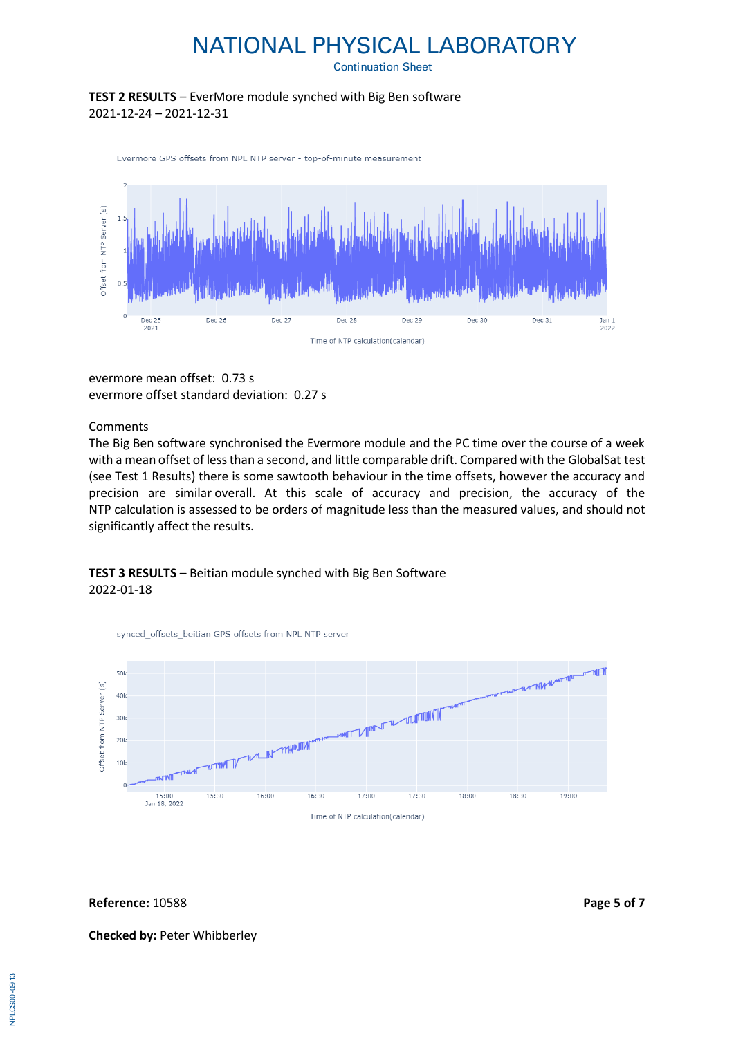**Continuation Sheet** 

# **TEST 2 RESULTS** – EverMore module synched with Big Ben software 2021-12-24 – 2021-12-31





evermore mean offset: 0.73 s evermore offset standard deviation: 0.27 s

### Comments

The Big Ben software synchronised the Evermore module and the PC time over the course of a week with a mean offset of less than a second, and little comparable drift. Compared with the GlobalSat test (see Test 1 Results) there is some sawtooth behaviour in the time offsets, however the accuracy and precision are similar overall. At this scale of accuracy and precision, the accuracy of the NTP calculation is assessed to be orders of magnitude less than the measured values, and should not significantly affect the results.

# **TEST 3 RESULTS** – Beitian module synched with Big Ben Software 2022-01-18



**Reference:** 10588 **Page 5 of 7**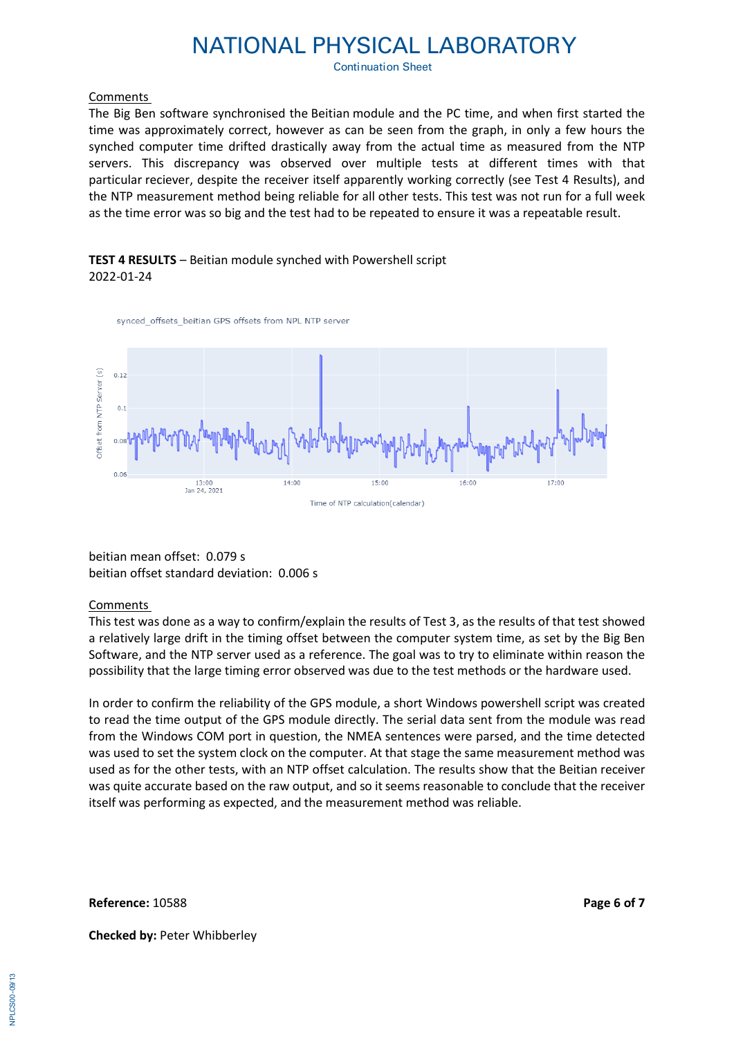**Continuation Sheet** 

### Comments

The Big Ben software synchronised the Beitian module and the PC time, and when first started the time was approximately correct, however as can be seen from the graph, in only a few hours the synched computer time drifted drastically away from the actual time as measured from the NTP servers. This discrepancy was observed over multiple tests at different times with that particular reciever, despite the receiver itself apparently working correctly (see Test 4 Results), and the NTP measurement method being reliable for all other tests. This test was not run for a full week as the time error was so big and the test had to be repeated to ensure it was a repeatable result.

# **TEST 4 RESULTS** – Beitian module synched with Powershell script 2022-01-24

synced offsets beitian GPS offsets from NPL NTP server



beitian mean offset: 0.079 s beitian offset standard deviation: 0.006 s

## Comments

This test was done as a way to confirm/explain the results of Test 3, as the results of that test showed a relatively large drift in the timing offset between the computer system time, as set by the Big Ben Software, and the NTP server used as a reference. The goal was to try to eliminate within reason the possibility that the large timing error observed was due to the test methods or the hardware used.

In order to confirm the reliability of the GPS module, a short Windows powershell script was created to read the time output of the GPS module directly. The serial data sent from the module was read from the Windows COM port in question, the NMEA sentences were parsed, and the time detected was used to set the system clock on the computer. At that stage the same measurement method was used as for the other tests, with an NTP offset calculation. The results show that the Beitian receiver was quite accurate based on the raw output, and so it seems reasonable to conclude that the receiver itself was performing as expected, and the measurement method was reliable.

**Reference:** 10588 **Page 6 of 7**